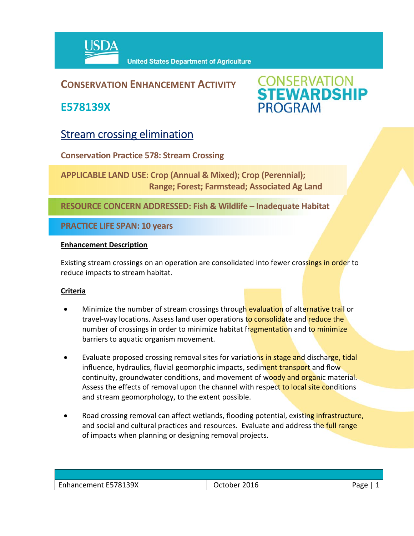

# **CONSERVATION ENHANCEMENT ACTIVITY**

**E578139X**



# Stream crossing elimination

**Conservation Practice 578: Stream Crossing**

**APPLICABLE LAND USE: Crop (Annual & Mixed); Crop (Perennial); Range; Forest; Farmstead; Associated Ag Land**

**RESOURCE CONCERN ADDRESSED: Fish & Wildlife – Inadequate Habitat**

**PRACTICE LIFE SPAN: 10 years**

#### **Enhancement Description**

Existing stream crossings on an operation are consolidated into fewer crossings in order to reduce impacts to stream habitat.

## **Criteria**

- Minimize the number of stream crossings through evaluation of alternative trail or travel-way locations. Assess land user operations to consolidate and reduce the number of crossings in order to minimize habitat fragmentation and to minimize barriers to aquatic organism movement.
- Evaluate proposed crossing removal sites for variations in stage and discharge, tidal influence, hydraulics, fluvial geomorphic impacts, sediment transport and flow continuity, groundwater conditions, and movement of woody and organic material. Assess the effects of removal upon the channel with respect to local site conditions and stream geomorphology, to the extent possible.
- Road crossing removal can affect wetlands, flooding potential, existing infrastructure, and social and cultural practices and resources. Evaluate and address the full range of impacts when planning or designing removal projects.

| Enhancement E578139X<br>2016<br><b><i><u>October</u></i></b> | - יהמי |
|--------------------------------------------------------------|--------|